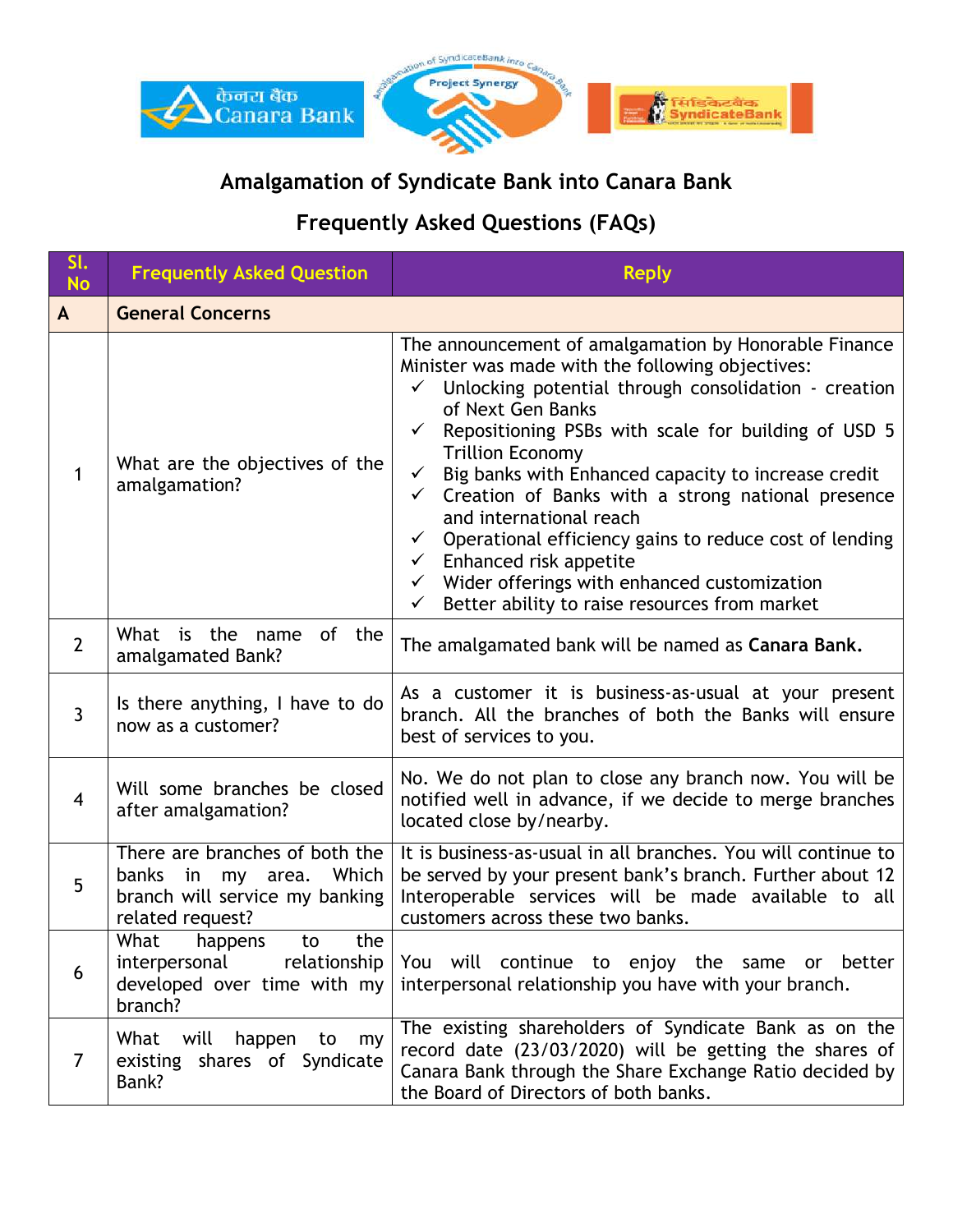

## **Amalgamation of Syndicate Bank into Canara Bank**

## **Frequently Asked Questions (FAQs)**

| SI.<br><b>No</b> | <b>Frequently Asked Question</b>                                                                                      | <b>Reply</b>                                                                                                                                                                                                                                                                                                                                                                                                                                                                                                                                                                                                                                                                                                  |
|------------------|-----------------------------------------------------------------------------------------------------------------------|---------------------------------------------------------------------------------------------------------------------------------------------------------------------------------------------------------------------------------------------------------------------------------------------------------------------------------------------------------------------------------------------------------------------------------------------------------------------------------------------------------------------------------------------------------------------------------------------------------------------------------------------------------------------------------------------------------------|
| $\mathsf{A}$     | <b>General Concerns</b>                                                                                               |                                                                                                                                                                                                                                                                                                                                                                                                                                                                                                                                                                                                                                                                                                               |
| 1                | What are the objectives of the<br>amalgamation?                                                                       | The announcement of amalgamation by Honorable Finance<br>Minister was made with the following objectives:<br>Unlocking potential through consolidation - creation<br>of Next Gen Banks<br>Repositioning PSBs with scale for building of USD 5<br>$\checkmark$<br><b>Trillion Economy</b><br>Big banks with Enhanced capacity to increase credit<br>$\checkmark$<br>Creation of Banks with a strong national presence<br>$\checkmark$<br>and international reach<br>Operational efficiency gains to reduce cost of lending<br>$\checkmark$<br>$\checkmark$ Enhanced risk appetite<br>$\checkmark$ Wider offerings with enhanced customization<br>Better ability to raise resources from market<br>$\checkmark$ |
| $\overline{2}$   | of the<br>What is the name<br>amalgamated Bank?                                                                       | The amalgamated bank will be named as Canara Bank.                                                                                                                                                                                                                                                                                                                                                                                                                                                                                                                                                                                                                                                            |
| $\overline{3}$   | Is there anything, I have to do<br>now as a customer?                                                                 | As a customer it is business-as-usual at your present<br>branch. All the branches of both the Banks will ensure<br>best of services to you.                                                                                                                                                                                                                                                                                                                                                                                                                                                                                                                                                                   |
| $\overline{4}$   | Will some branches be closed<br>after amalgamation?                                                                   | No. We do not plan to close any branch now. You will be<br>notified well in advance, if we decide to merge branches<br>located close by/nearby.                                                                                                                                                                                                                                                                                                                                                                                                                                                                                                                                                               |
| 5                | There are branches of both the<br>Which<br>banks in<br>my area.<br>branch will service my banking<br>related request? | It is business-as-usual in all branches. You will continue to<br>be served by your present bank's branch. Further about 12<br>Interoperable services will be made available to all<br>customers across these two banks.                                                                                                                                                                                                                                                                                                                                                                                                                                                                                       |
| 6                | What<br>the<br>happens<br>to<br>relationship<br>interpersonal<br>developed over time with my<br>branch?               | You will continue to enjoy the same or better<br>interpersonal relationship you have with your branch.                                                                                                                                                                                                                                                                                                                                                                                                                                                                                                                                                                                                        |
| 7                | What<br>will<br>happen<br>my<br>to<br>existing shares of Syndicate<br>Bank?                                           | The existing shareholders of Syndicate Bank as on the<br>record date (23/03/2020) will be getting the shares of<br>Canara Bank through the Share Exchange Ratio decided by<br>the Board of Directors of both banks.                                                                                                                                                                                                                                                                                                                                                                                                                                                                                           |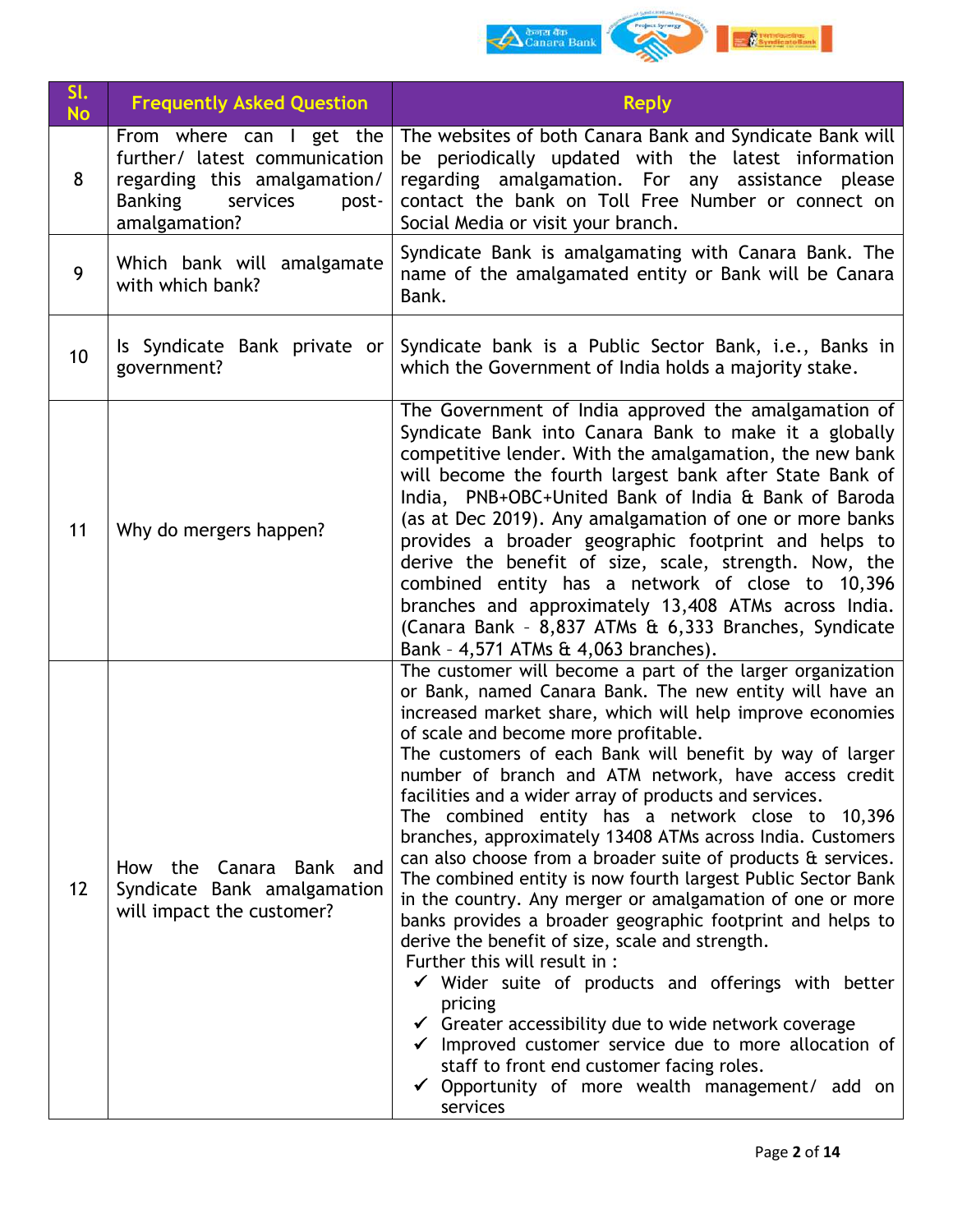

| SI.<br><b>No</b> | <b>Frequently Asked Question</b>                                                                                                                  | <b>Reply</b>                                                                                                                                                                                                                                                                                                                                                                                                                                                                                                                                                                                                                                                                                                                                                                                                                                                                                                                                                                                                                                                                                                                                                                                             |
|------------------|---------------------------------------------------------------------------------------------------------------------------------------------------|----------------------------------------------------------------------------------------------------------------------------------------------------------------------------------------------------------------------------------------------------------------------------------------------------------------------------------------------------------------------------------------------------------------------------------------------------------------------------------------------------------------------------------------------------------------------------------------------------------------------------------------------------------------------------------------------------------------------------------------------------------------------------------------------------------------------------------------------------------------------------------------------------------------------------------------------------------------------------------------------------------------------------------------------------------------------------------------------------------------------------------------------------------------------------------------------------------|
| 8                | From where can I get the<br>further/ latest communication<br>regarding this amalgamation/<br><b>Banking</b><br>services<br>post-<br>amalgamation? | The websites of both Canara Bank and Syndicate Bank will<br>be periodically updated with the latest information<br>regarding amalgamation. For any assistance please<br>contact the bank on Toll Free Number or connect on<br>Social Media or visit your branch.                                                                                                                                                                                                                                                                                                                                                                                                                                                                                                                                                                                                                                                                                                                                                                                                                                                                                                                                         |
| 9                | Which bank will amalgamate<br>with which bank?                                                                                                    | Syndicate Bank is amalgamating with Canara Bank. The<br>name of the amalgamated entity or Bank will be Canara<br>Bank.                                                                                                                                                                                                                                                                                                                                                                                                                                                                                                                                                                                                                                                                                                                                                                                                                                                                                                                                                                                                                                                                                   |
| 10               | Is Syndicate Bank private or<br>government?                                                                                                       | Syndicate bank is a Public Sector Bank, i.e., Banks in<br>which the Government of India holds a majority stake.                                                                                                                                                                                                                                                                                                                                                                                                                                                                                                                                                                                                                                                                                                                                                                                                                                                                                                                                                                                                                                                                                          |
| 11               | Why do mergers happen?                                                                                                                            | The Government of India approved the amalgamation of<br>Syndicate Bank into Canara Bank to make it a globally<br>competitive lender. With the amalgamation, the new bank<br>will become the fourth largest bank after State Bank of<br>India, PNB+OBC+United Bank of India & Bank of Baroda<br>(as at Dec 2019). Any amalgamation of one or more banks<br>provides a broader geographic footprint and helps to<br>derive the benefit of size, scale, strength. Now, the<br>combined entity has a network of close to 10,396<br>branches and approximately 13,408 ATMs across India.<br>(Canara Bank - 8,837 ATMs & 6,333 Branches, Syndicate<br>Bank - 4,571 ATMs & 4,063 branches).                                                                                                                                                                                                                                                                                                                                                                                                                                                                                                                     |
| 12               | How the Canara Bank and<br>Syndicate Bank amalgamation<br>will impact the customer?                                                               | The customer will become a part of the larger organization<br>or Bank, named Canara Bank. The new entity will have an<br>increased market share, which will help improve economies<br>of scale and become more profitable.<br>The customers of each Bank will benefit by way of larger<br>number of branch and ATM network, have access credit<br>facilities and a wider array of products and services.<br>The combined entity has a network close to 10,396<br>branches, approximately 13408 ATMs across India. Customers<br>can also choose from a broader suite of products & services.<br>The combined entity is now fourth largest Public Sector Bank<br>in the country. Any merger or amalgamation of one or more<br>banks provides a broader geographic footprint and helps to<br>derive the benefit of size, scale and strength.<br>Further this will result in :<br>$\checkmark$ Wider suite of products and offerings with better<br>pricing<br>$\checkmark$ Greater accessibility due to wide network coverage<br>$\checkmark$ Improved customer service due to more allocation of<br>staff to front end customer facing roles.<br>Opportunity of more wealth management/ add on<br>services |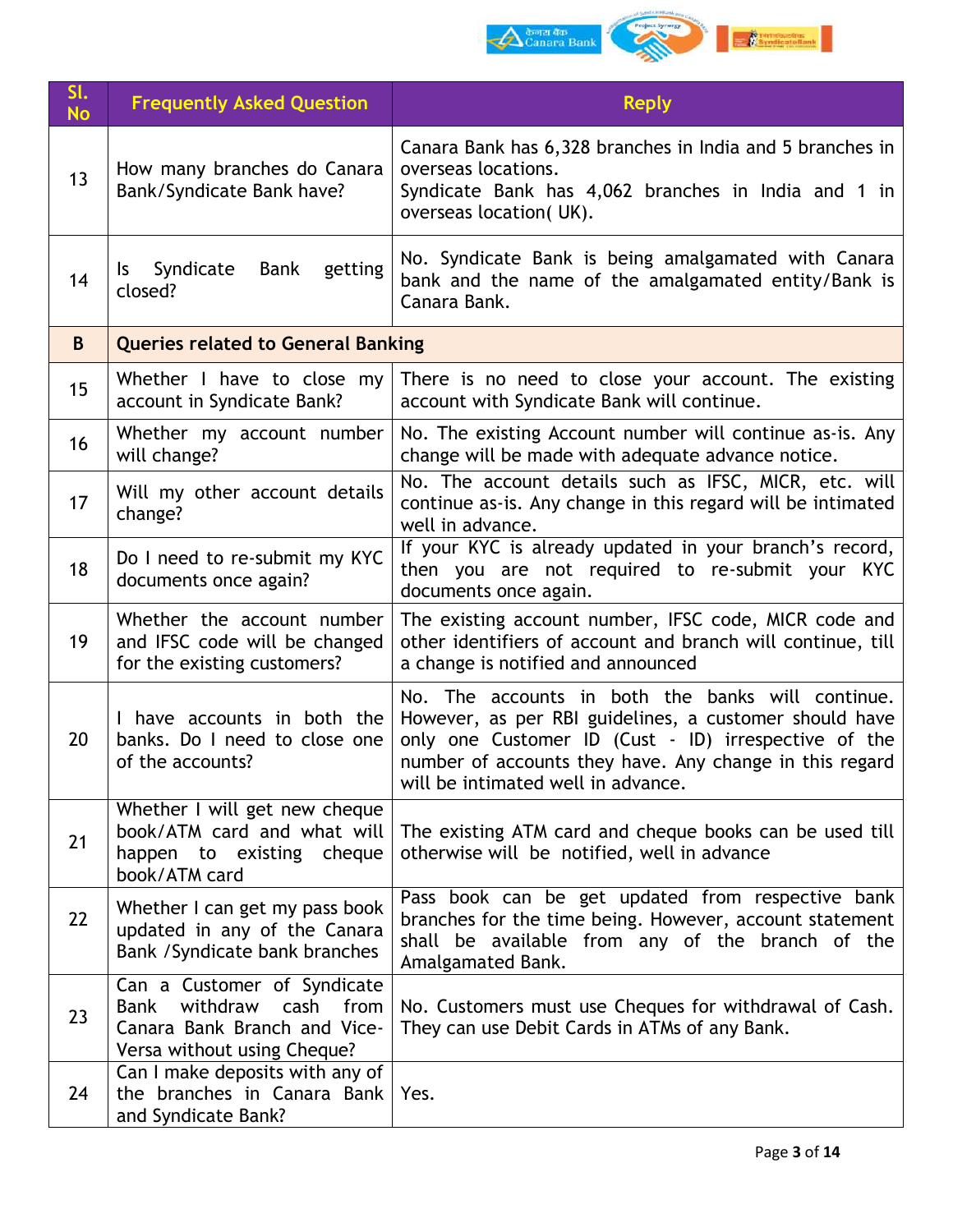

| SI.<br><b>No</b> | <b>Frequently Asked Question</b>                                                                                               | <b>Reply</b>                                                                                                                                                                                                                                                         |
|------------------|--------------------------------------------------------------------------------------------------------------------------------|----------------------------------------------------------------------------------------------------------------------------------------------------------------------------------------------------------------------------------------------------------------------|
| 13               | How many branches do Canara<br>Bank/Syndicate Bank have?                                                                       | Canara Bank has 6,328 branches in India and 5 branches in<br>overseas locations.<br>Syndicate Bank has 4,062 branches in India and 1 in<br>overseas location(UK).                                                                                                    |
| 14               | Syndicate<br>Bank<br>getting<br>Is.<br>closed?                                                                                 | No. Syndicate Bank is being amalgamated with Canara<br>bank and the name of the amalgamated entity/Bank is<br>Canara Bank.                                                                                                                                           |
| B.               | <b>Queries related to General Banking</b>                                                                                      |                                                                                                                                                                                                                                                                      |
| 15               | Whether I have to close my<br>account in Syndicate Bank?                                                                       | There is no need to close your account. The existing<br>account with Syndicate Bank will continue.                                                                                                                                                                   |
| 16               | Whether my account number<br>will change?                                                                                      | No. The existing Account number will continue as-is. Any<br>change will be made with adequate advance notice.                                                                                                                                                        |
| 17               | Will my other account details<br>change?                                                                                       | No. The account details such as IFSC, MICR, etc. will<br>continue as-is. Any change in this regard will be intimated<br>well in advance.                                                                                                                             |
| 18               | Do I need to re-submit my KYC<br>documents once again?                                                                         | If your KYC is already updated in your branch's record,<br>then you are not required to re-submit your KYC<br>documents once again.                                                                                                                                  |
| 19               | Whether the account number<br>and IFSC code will be changed<br>for the existing customers?                                     | The existing account number, IFSC code, MICR code and<br>other identifiers of account and branch will continue, till<br>a change is notified and announced                                                                                                           |
| 20               | I have accounts in both the<br>banks. Do I need to close one<br>of the accounts?                                               | No. The accounts in both the banks will continue.<br>However, as per RBI guidelines, a customer should have<br>only one Customer ID (Cust - ID) irrespective of the<br>number of accounts they have. Any change in this regard<br>will be intimated well in advance. |
| 21               | Whether I will get new cheque<br>book/ATM card and what will<br>happen to existing cheque<br>book/ATM card                     | The existing ATM card and cheque books can be used till<br>otherwise will be notified, well in advance                                                                                                                                                               |
| 22               | Whether I can get my pass book<br>updated in any of the Canara<br>Bank / Syndicate bank branches                               | Pass book can be get updated from respective bank<br>branches for the time being. However, account statement<br>shall be available from any of the branch of the<br>Amalgamated Bank.                                                                                |
| 23               | Can a Customer of Syndicate<br>withdraw<br>Bank<br>cash<br>from<br>Canara Bank Branch and Vice-<br>Versa without using Cheque? | No. Customers must use Cheques for withdrawal of Cash.<br>They can use Debit Cards in ATMs of any Bank.                                                                                                                                                              |
| 24               | Can I make deposits with any of<br>the branches in Canara Bank   Yes.<br>and Syndicate Bank?                                   |                                                                                                                                                                                                                                                                      |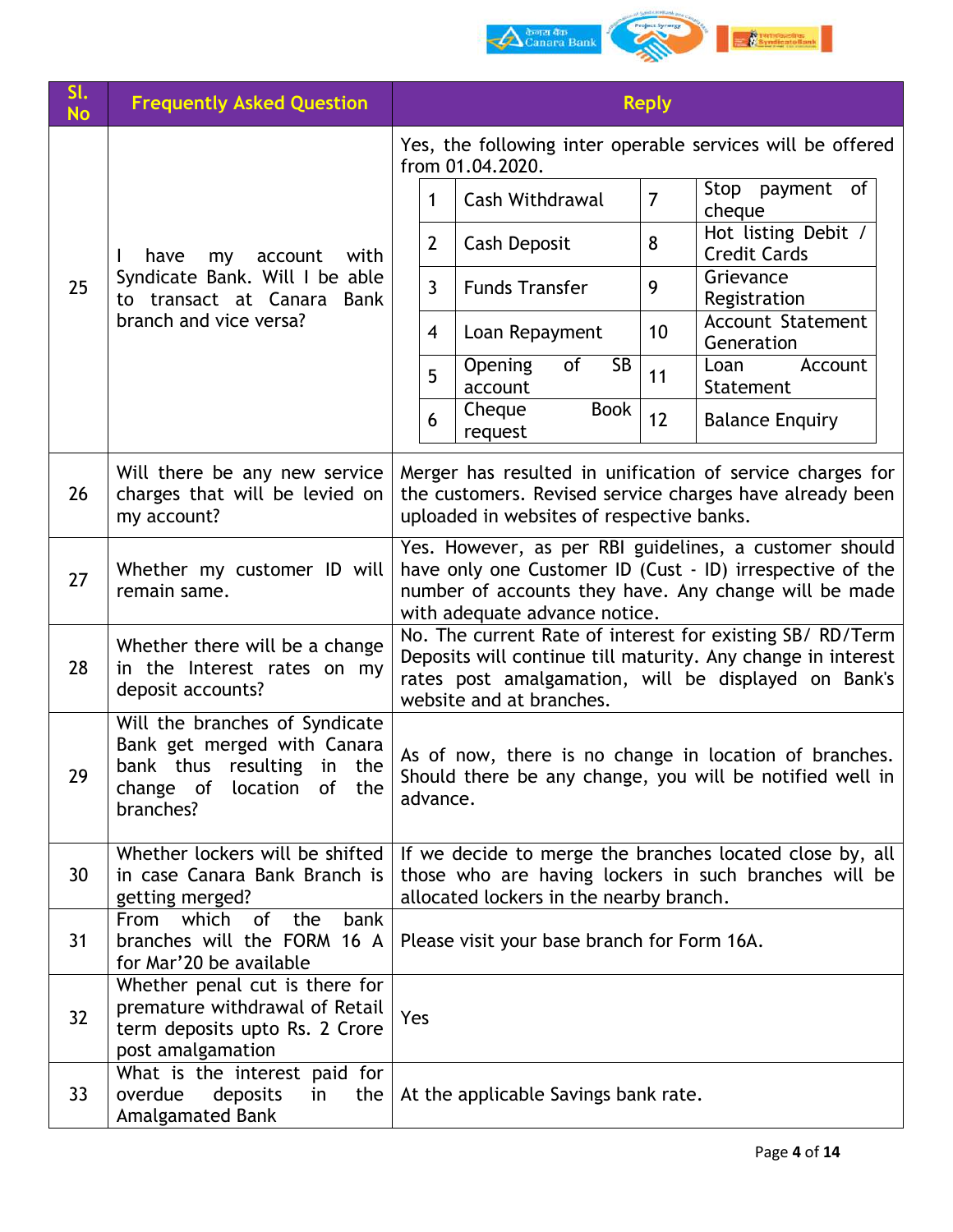|           |                                                                                                                                                      | ेकनस बैंक<br>Canara Bank                                                                                                                                                                                      |
|-----------|------------------------------------------------------------------------------------------------------------------------------------------------------|---------------------------------------------------------------------------------------------------------------------------------------------------------------------------------------------------------------|
| SI.       | <b>Frequently Asked Question</b>                                                                                                                     | <b>Reply</b>                                                                                                                                                                                                  |
| <b>No</b> |                                                                                                                                                      | Yes, the following inter operable services will be offered<br>from 01.04.2020.                                                                                                                                |
|           |                                                                                                                                                      | Stop payment of<br>$\overline{7}$<br>Cash Withdrawal<br>1<br>cheque                                                                                                                                           |
|           | with<br>have<br>account<br>my                                                                                                                        | Hot listing Debit /<br>$\overline{2}$<br>8<br>Cash Deposit<br><b>Credit Cards</b>                                                                                                                             |
| 25        | Syndicate Bank. Will I be able<br>to transact at Canara<br>Bank                                                                                      | Grievance<br>3<br>9<br><b>Funds Transfer</b><br>Registration                                                                                                                                                  |
|           | branch and vice versa?                                                                                                                               | <b>Account Statement</b><br>10<br>4<br>Loan Repayment<br>Generation                                                                                                                                           |
|           |                                                                                                                                                      | <b>SB</b><br>Opening<br>of<br>Loan<br>Account<br>5<br>11<br>account<br>Statement                                                                                                                              |
|           |                                                                                                                                                      | Cheque<br><b>Book</b><br>12<br>6<br><b>Balance Enquiry</b><br>request                                                                                                                                         |
| 26        | Will there be any new service<br>charges that will be levied on<br>my account?                                                                       | Merger has resulted in unification of service charges for<br>the customers. Revised service charges have already been<br>uploaded in websites of respective banks.                                            |
| 27        | Whether my customer ID will<br>remain same.                                                                                                          | Yes. However, as per RBI guidelines, a customer should<br>have only one Customer ID (Cust - ID) irrespective of the<br>number of accounts they have. Any change will be made<br>with adequate advance notice. |
| 28        | Whether there will be a change<br>in the Interest rates on my<br>deposit accounts?                                                                   | No. The current Rate of interest for existing SB/ RD/Term<br>Deposits will continue till maturity. Any change in interest<br>rates post amalgamation, will be displayed on Bank's<br>website and at branches. |
| 29        | Will the branches of Syndicate<br>Bank get merged with Canara<br>bank thus resulting<br>in<br>the<br>change of<br>location<br>of<br>the<br>branches? | As of now, there is no change in location of branches.<br>Should there be any change, you will be notified well in<br>advance.                                                                                |
| 30        | Whether lockers will be shifted<br>in case Canara Bank Branch is<br>getting merged?                                                                  | If we decide to merge the branches located close by, all<br>those who are having lockers in such branches will be<br>allocated lockers in the nearby branch.                                                  |
| 31        | From which<br>of<br>the<br>bank<br>branches will the FORM 16 A<br>for Mar'20 be available                                                            | Please visit your base branch for Form 16A.                                                                                                                                                                   |
|           | Whether penal cut is there for                                                                                                                       |                                                                                                                                                                                                               |

32

33

premature withdrawal of Retail term deposits upto Rs. 2 Crore

What is the interest paid for overdue deposits in the Yes

At the applicable Savings bank rate.

post amalgamation

Amalgamated Bank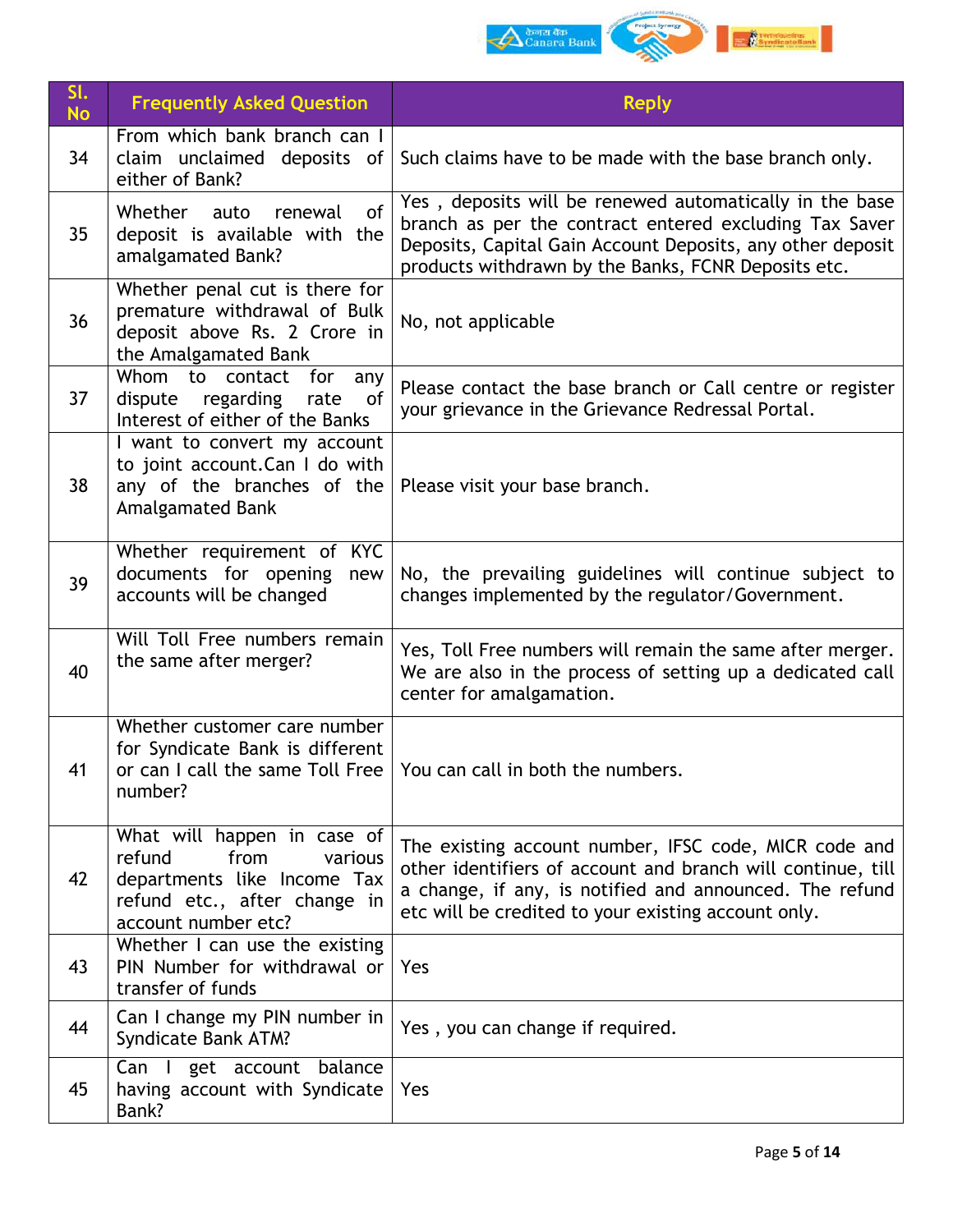

| SI.<br><b>No</b> | <b>Frequently Asked Question</b>                                                                                                               | <b>Reply</b>                                                                                                                                                                                                                           |
|------------------|------------------------------------------------------------------------------------------------------------------------------------------------|----------------------------------------------------------------------------------------------------------------------------------------------------------------------------------------------------------------------------------------|
| 34               | From which bank branch can I<br>claim unclaimed deposits of<br>either of Bank?                                                                 | Such claims have to be made with the base branch only.                                                                                                                                                                                 |
| 35               | Whether<br><sub>of</sub><br>auto<br>renewal<br>deposit is available with the<br>amalgamated Bank?                                              | Yes, deposits will be renewed automatically in the base<br>branch as per the contract entered excluding Tax Saver<br>Deposits, Capital Gain Account Deposits, any other deposit<br>products withdrawn by the Banks, FCNR Deposits etc. |
| 36               | Whether penal cut is there for<br>premature withdrawal of Bulk<br>deposit above Rs. 2 Crore in<br>the Amalgamated Bank                         | No, not applicable                                                                                                                                                                                                                     |
| 37               | Whom to contact for<br>any<br>regarding<br>of<br>dispute<br>rate<br>Interest of either of the Banks                                            | Please contact the base branch or Call centre or register<br>your grievance in the Grievance Redressal Portal.                                                                                                                         |
| 38               | I want to convert my account<br>to joint account. Can I do with<br>any of the branches of the<br>Amalgamated Bank                              | Please visit your base branch.                                                                                                                                                                                                         |
| 39               | Whether requirement of KYC<br>documents for opening<br>new<br>accounts will be changed                                                         | No, the prevailing guidelines will continue subject to<br>changes implemented by the regulator/Government.                                                                                                                             |
| 40               | Will Toll Free numbers remain<br>the same after merger?                                                                                        | Yes, Toll Free numbers will remain the same after merger.<br>We are also in the process of setting up a dedicated call<br>center for amalgamation.                                                                                     |
| 41               | Whether customer care number<br>for Syndicate Bank is different<br>or can I call the same Toll Free<br>number?                                 | You can call in both the numbers.                                                                                                                                                                                                      |
| 42               | What will happen in case of<br>from<br>refund<br>various<br>departments like Income Tax<br>refund etc., after change in<br>account number etc? | The existing account number, IFSC code, MICR code and<br>other identifiers of account and branch will continue, till<br>a change, if any, is notified and announced. The refund<br>etc will be credited to your existing account only. |
| 43               | Whether I can use the existing<br>PIN Number for withdrawal or<br>transfer of funds                                                            | Yes                                                                                                                                                                                                                                    |
| 44               | Can I change my PIN number in<br>Syndicate Bank ATM?                                                                                           | Yes, you can change if required.                                                                                                                                                                                                       |
| 45               | Can I get account balance<br>having account with Syndicate<br>Bank?                                                                            | Yes                                                                                                                                                                                                                                    |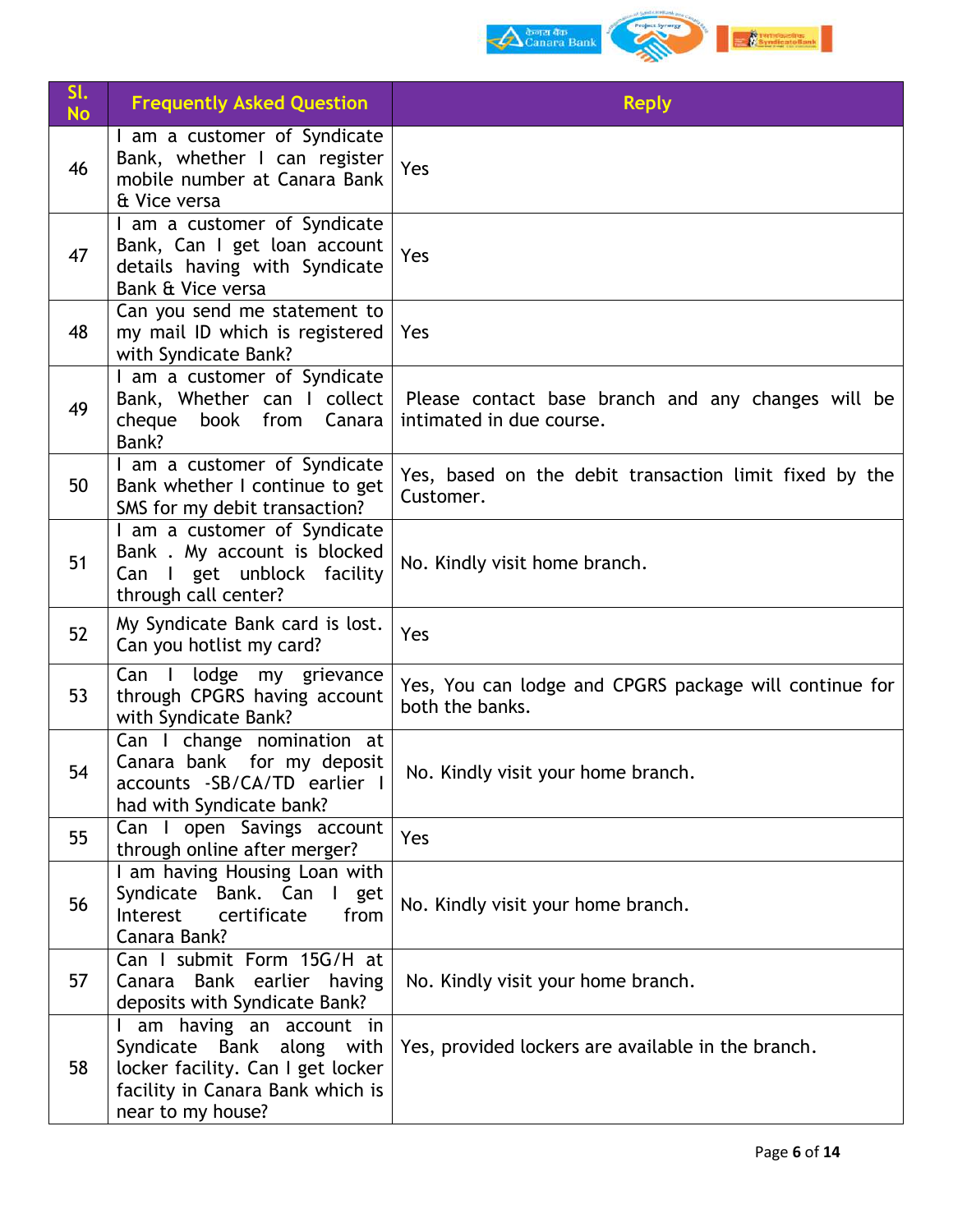

| SI.<br><b>No</b> | <b>Frequently Asked Question</b>                                                                                                                     | <b>Reply</b>                                                                   |
|------------------|------------------------------------------------------------------------------------------------------------------------------------------------------|--------------------------------------------------------------------------------|
| 46               | I am a customer of Syndicate<br>Bank, whether I can register<br>mobile number at Canara Bank<br>& Vice versa                                         | Yes                                                                            |
| 47               | I am a customer of Syndicate<br>Bank, Can I get loan account<br>details having with Syndicate<br>Bank & Vice versa                                   | Yes                                                                            |
| 48               | Can you send me statement to<br>my mail ID which is registered<br>with Syndicate Bank?                                                               | Yes                                                                            |
| 49               | I am a customer of Syndicate<br>Bank, Whether can I collect<br>book from<br>Canara<br>cheque<br>Bank?                                                | Please contact base branch and any changes will be<br>intimated in due course. |
| 50               | I am a customer of Syndicate<br>Bank whether I continue to get<br>SMS for my debit transaction?                                                      | Yes, based on the debit transaction limit fixed by the<br>Customer.            |
| 51               | I am a customer of Syndicate<br>Bank . My account is blocked<br>Can I get unblock facility<br>through call center?                                   | No. Kindly visit home branch.                                                  |
| 52               | My Syndicate Bank card is lost.<br>Can you hotlist my card?                                                                                          | Yes                                                                            |
| 53               | Can I<br>lodge<br>my grievance<br>through CPGRS having account<br>with Syndicate Bank?                                                               | Yes, You can lodge and CPGRS package will continue for<br>both the banks.      |
| 54               | Can I change nomination at<br>Canara bank for my deposit<br>accounts -SB/CA/TD earlier I<br>had with Syndicate bank?                                 | No. Kindly visit your home branch.                                             |
| 55               | Can I open Savings account<br>through online after merger?                                                                                           | Yes                                                                            |
| 56               | I am having Housing Loan with<br>Syndicate Bank. Can I get<br>from<br>Interest<br>certificate<br>Canara Bank?                                        | No. Kindly visit your home branch.                                             |
| 57               | Can I submit Form 15G/H at<br>Bank earlier having<br>Canara<br>deposits with Syndicate Bank?                                                         | No. Kindly visit your home branch.                                             |
| 58               | I am having an account in<br>Syndicate Bank along with<br>locker facility. Can I get locker<br>facility in Canara Bank which is<br>near to my house? | Yes, provided lockers are available in the branch.                             |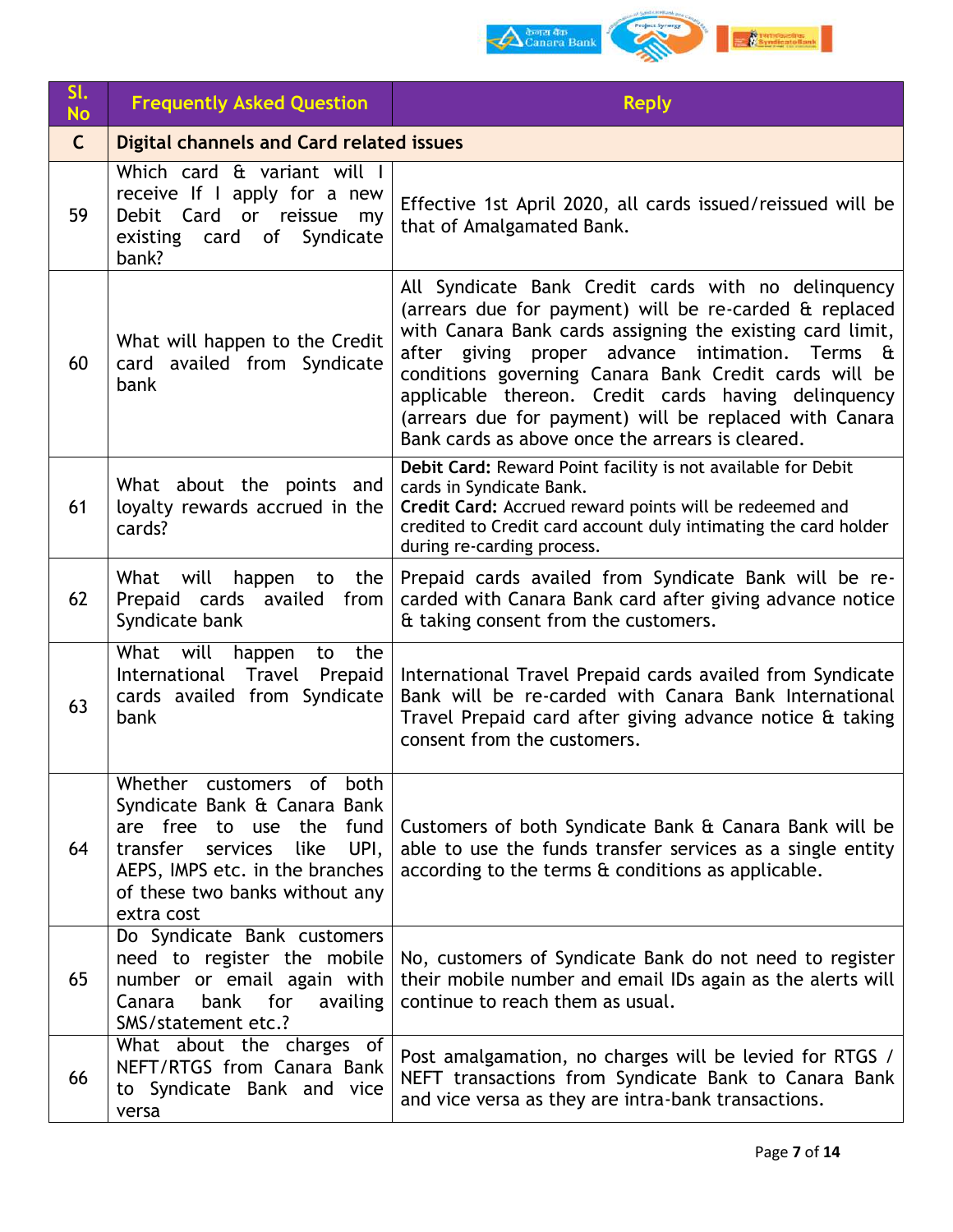

| SI.<br><b>No</b> | <b>Frequently Asked Question</b>                                                                                                                                                                                       | <b>Reply</b>                                                                                                                                                                                                                                                                                                                                                                                                                                                |
|------------------|------------------------------------------------------------------------------------------------------------------------------------------------------------------------------------------------------------------------|-------------------------------------------------------------------------------------------------------------------------------------------------------------------------------------------------------------------------------------------------------------------------------------------------------------------------------------------------------------------------------------------------------------------------------------------------------------|
| $\mathsf{C}$     | Digital channels and Card related issues                                                                                                                                                                               |                                                                                                                                                                                                                                                                                                                                                                                                                                                             |
| 59               | Which card & variant will I<br>receive If I apply for a new<br>Debit Card or reissue<br>my<br>existing card of Syndicate<br>bank?                                                                                      | Effective 1st April 2020, all cards issued/reissued will be<br>that of Amalgamated Bank.                                                                                                                                                                                                                                                                                                                                                                    |
| 60               | What will happen to the Credit<br>card availed from Syndicate<br>bank                                                                                                                                                  | All Syndicate Bank Credit cards with no delinguency<br>(arrears due for payment) will be re-carded & replaced<br>with Canara Bank cards assigning the existing card limit,<br>after giving proper advance intimation. Terms &<br>conditions governing Canara Bank Credit cards will be<br>applicable thereon. Credit cards having delinquency<br>(arrears due for payment) will be replaced with Canara<br>Bank cards as above once the arrears is cleared. |
| 61               | What about the points and<br>loyalty rewards accrued in the<br>cards?                                                                                                                                                  | Debit Card: Reward Point facility is not available for Debit<br>cards in Syndicate Bank.<br>Credit Card: Accrued reward points will be redeemed and<br>credited to Credit card account duly intimating the card holder<br>during re-carding process.                                                                                                                                                                                                        |
| 62               | What will<br>happen to<br>the<br>Prepaid cards availed from<br>Syndicate bank                                                                                                                                          | Prepaid cards availed from Syndicate Bank will be re-<br>carded with Canara Bank card after giving advance notice<br>& taking consent from the customers.                                                                                                                                                                                                                                                                                                   |
| 63               | What will<br>the<br>happen<br>to<br>International Travel<br>Prepaid<br>cards availed from Syndicate<br>bank                                                                                                            | International Travel Prepaid cards availed from Syndicate<br>Bank will be re-carded with Canara Bank International<br>Travel Prepaid card after giving advance notice & taking<br>consent from the customers.                                                                                                                                                                                                                                               |
| 64               | Whether customers of<br>both<br>Syndicate Bank & Canara Bank<br>are free to use the<br>fund<br>transfer<br>services<br>like<br>UPI,<br>AEPS, IMPS etc. in the branches<br>of these two banks without any<br>extra cost | Customers of both Syndicate Bank & Canara Bank will be<br>able to use the funds transfer services as a single entity<br>according to the terms & conditions as applicable.                                                                                                                                                                                                                                                                                  |
| 65               | Do Syndicate Bank customers<br>need to register the mobile<br>number or email again with<br>bank for<br>Canara<br>availing<br>SMS/statement etc.?                                                                      | No, customers of Syndicate Bank do not need to register<br>their mobile number and email IDs again as the alerts will<br>continue to reach them as usual.                                                                                                                                                                                                                                                                                                   |
| 66               | What about the charges of<br>NEFT/RTGS from Canara Bank<br>to Syndicate Bank and vice<br>versa                                                                                                                         | Post amalgamation, no charges will be levied for RTGS /<br>NEFT transactions from Syndicate Bank to Canara Bank<br>and vice versa as they are intra-bank transactions.                                                                                                                                                                                                                                                                                      |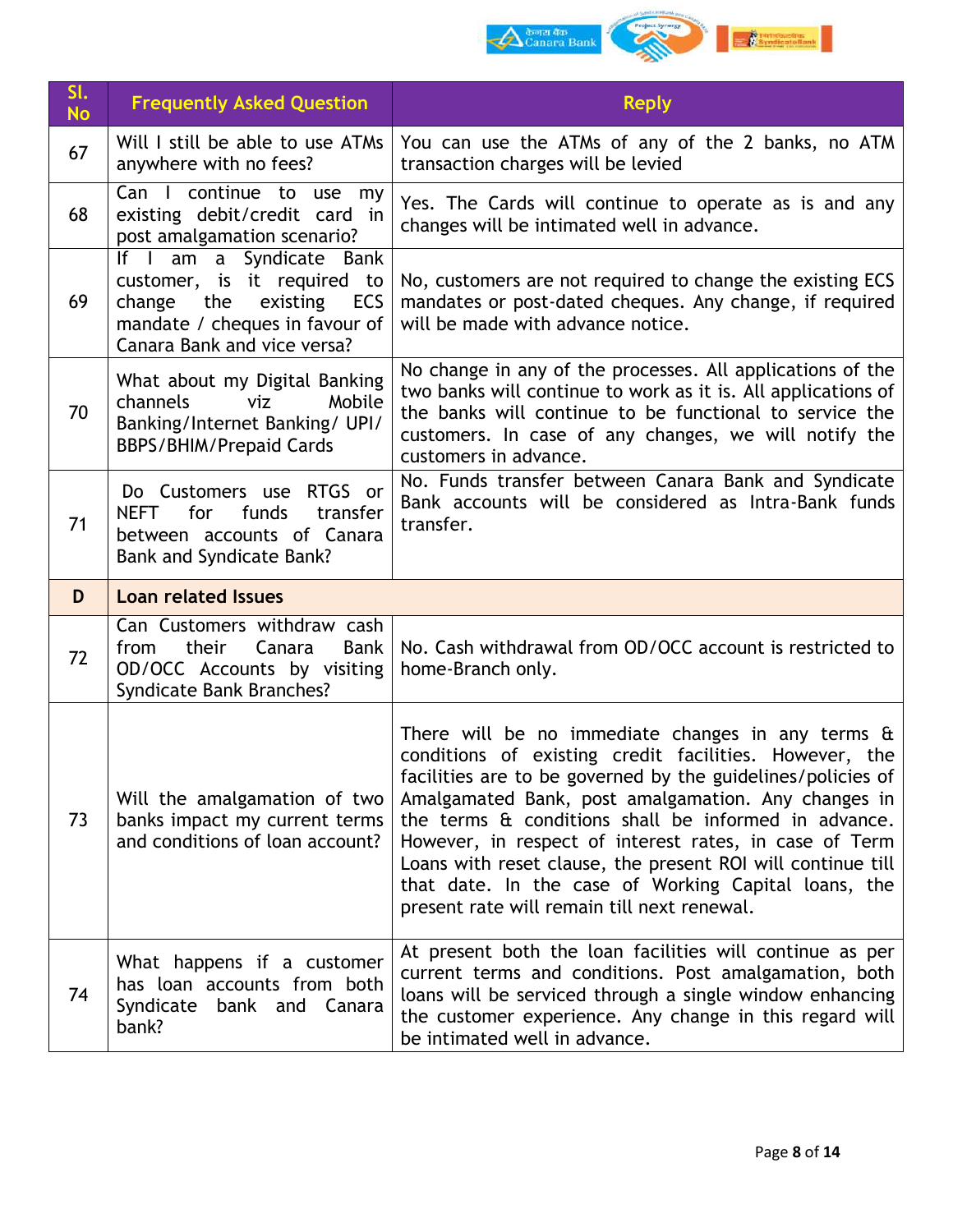

| Sl.<br><b>No</b> | <b>Frequently Asked Question</b>                                                                                                                             | <b>Reply</b>                                                                                                                                                                                                                                                                                                                                                                                                                                                                                                                      |
|------------------|--------------------------------------------------------------------------------------------------------------------------------------------------------------|-----------------------------------------------------------------------------------------------------------------------------------------------------------------------------------------------------------------------------------------------------------------------------------------------------------------------------------------------------------------------------------------------------------------------------------------------------------------------------------------------------------------------------------|
| 67               | Will I still be able to use ATMs<br>anywhere with no fees?                                                                                                   | You can use the ATMs of any of the 2 banks, no ATM<br>transaction charges will be levied                                                                                                                                                                                                                                                                                                                                                                                                                                          |
| 68               | Can I continue to use my<br>existing debit/credit card in<br>post amalgamation scenario?                                                                     | Yes. The Cards will continue to operate as is and any<br>changes will be intimated well in advance.                                                                                                                                                                                                                                                                                                                                                                                                                               |
| 69               | If I am a Syndicate Bank<br>customer, is it required to<br>the<br>ECS<br>change<br>existing<br>mandate / cheques in favour of<br>Canara Bank and vice versa? | No, customers are not required to change the existing ECS<br>mandates or post-dated cheques. Any change, if required<br>will be made with advance notice.                                                                                                                                                                                                                                                                                                                                                                         |
| 70               | What about my Digital Banking<br>channels<br>viz<br>Mobile<br>Banking/Internet Banking/ UPI/<br><b>BBPS/BHIM/Prepaid Cards</b>                               | No change in any of the processes. All applications of the<br>two banks will continue to work as it is. All applications of<br>the banks will continue to be functional to service the<br>customers. In case of any changes, we will notify the<br>customers in advance.                                                                                                                                                                                                                                                          |
| 71               | Do Customers use RTGS or<br>for<br>funds<br><b>NEFT</b><br>transfer<br>between accounts of Canara<br>Bank and Syndicate Bank?                                | No. Funds transfer between Canara Bank and Syndicate<br>Bank accounts will be considered as Intra-Bank funds<br>transfer.                                                                                                                                                                                                                                                                                                                                                                                                         |
| D                | <b>Loan related Issues</b>                                                                                                                                   |                                                                                                                                                                                                                                                                                                                                                                                                                                                                                                                                   |
| 72               | Can Customers withdraw cash<br>from<br>their<br>Canara<br><b>Bank</b><br>OD/OCC Accounts by visiting<br>Syndicate Bank Branches?                             | No. Cash withdrawal from OD/OCC account is restricted to<br>home-Branch only.                                                                                                                                                                                                                                                                                                                                                                                                                                                     |
| 73               | Will the amalgamation of two<br>banks impact my current terms<br>and conditions of loan account?                                                             | There will be no immediate changes in any terms $\hat{a}$<br>conditions of existing credit facilities. However, the<br>facilities are to be governed by the guidelines/policies of<br>Amalgamated Bank, post amalgamation. Any changes in<br>the terms & conditions shall be informed in advance.<br>However, in respect of interest rates, in case of Term<br>Loans with reset clause, the present ROI will continue till<br>that date. In the case of Working Capital loans, the<br>present rate will remain till next renewal. |
| 74               | What happens if a customer<br>has loan accounts from both<br>Syndicate bank and Canara<br>bank?                                                              | At present both the loan facilities will continue as per<br>current terms and conditions. Post amalgamation, both<br>loans will be serviced through a single window enhancing<br>the customer experience. Any change in this regard will<br>be intimated well in advance.                                                                                                                                                                                                                                                         |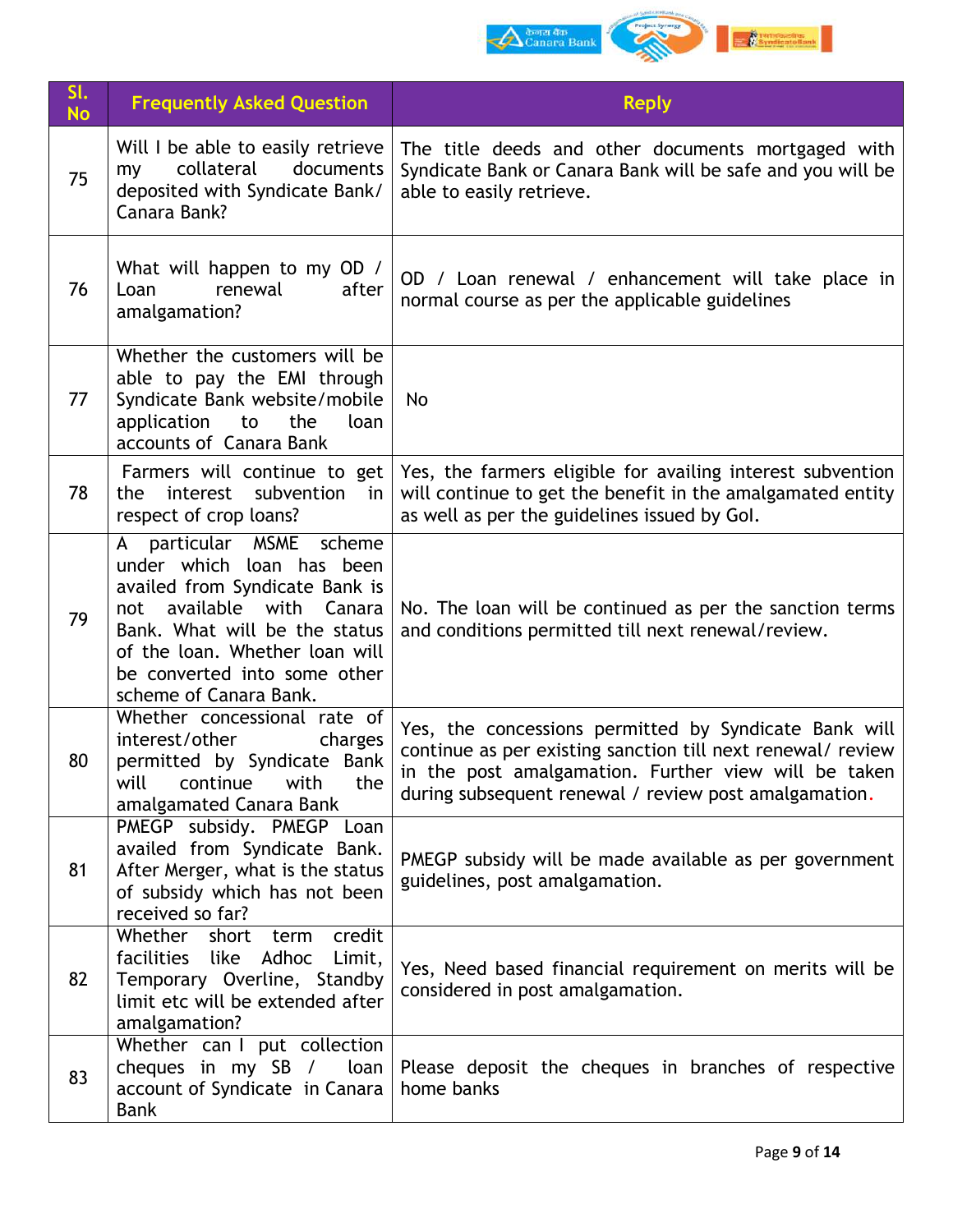

| SI.<br><b>No</b> | <b>Frequently Asked Question</b>                                                                                                                                                                                                                           | <b>Reply</b>                                                                                                                                                                                                                          |
|------------------|------------------------------------------------------------------------------------------------------------------------------------------------------------------------------------------------------------------------------------------------------------|---------------------------------------------------------------------------------------------------------------------------------------------------------------------------------------------------------------------------------------|
| 75               | Will I be able to easily retrieve<br>collateral<br>documents<br>my<br>deposited with Syndicate Bank/<br>Canara Bank?                                                                                                                                       | The title deeds and other documents mortgaged with<br>Syndicate Bank or Canara Bank will be safe and you will be<br>able to easily retrieve.                                                                                          |
| 76               | What will happen to my OD /<br>renewal<br>after<br>Loan<br>amalgamation?                                                                                                                                                                                   | OD / Loan renewal / enhancement will take place in<br>normal course as per the applicable guidelines                                                                                                                                  |
| 77               | Whether the customers will be<br>able to pay the EMI through<br>Syndicate Bank website/mobile<br>application<br>to<br>the<br>loan<br>accounts of Canara Bank                                                                                               | <b>No</b>                                                                                                                                                                                                                             |
| 78               | Farmers will continue to get<br>interest<br>subvention<br>the<br>in<br>respect of crop loans?                                                                                                                                                              | Yes, the farmers eligible for availing interest subvention<br>will continue to get the benefit in the amalgamated entity<br>as well as per the guidelines issued by Gol.                                                              |
| 79               | particular MSME<br>scheme<br>A<br>under which loan has been<br>availed from Syndicate Bank is<br>available with Canara<br>not<br>Bank. What will be the status<br>of the loan. Whether loan will<br>be converted into some other<br>scheme of Canara Bank. | No. The loan will be continued as per the sanction terms<br>and conditions permitted till next renewal/review.                                                                                                                        |
| 80               | Whether concessional rate of<br>interest/other<br>charges<br>permitted by Syndicate Bank<br>will<br>continue<br>with<br>the<br>amalgamated Canara Bank                                                                                                     | Yes, the concessions permitted by Syndicate Bank will<br>continue as per existing sanction till next renewal/ review<br>in the post amalgamation. Further view will be taken<br>during subsequent renewal / review post amalgamation. |
| 81               | PMEGP subsidy. PMEGP Loan<br>availed from Syndicate Bank.<br>After Merger, what is the status<br>of subsidy which has not been<br>received so far?                                                                                                         | PMEGP subsidy will be made available as per government<br>guidelines, post amalgamation.                                                                                                                                              |
| 82               | Whether short term<br>credit<br>facilities like<br>Adhoc<br>Limit,<br>Temporary Overline, Standby<br>limit etc will be extended after<br>amalgamation?                                                                                                     | Yes, Need based financial requirement on merits will be<br>considered in post amalgamation.                                                                                                                                           |
| 83               | Whether can I put collection<br>cheques in my SB /<br>loan  <br>account of Syndicate in Canara<br><b>Bank</b>                                                                                                                                              | Please deposit the cheques in branches of respective<br>home banks                                                                                                                                                                    |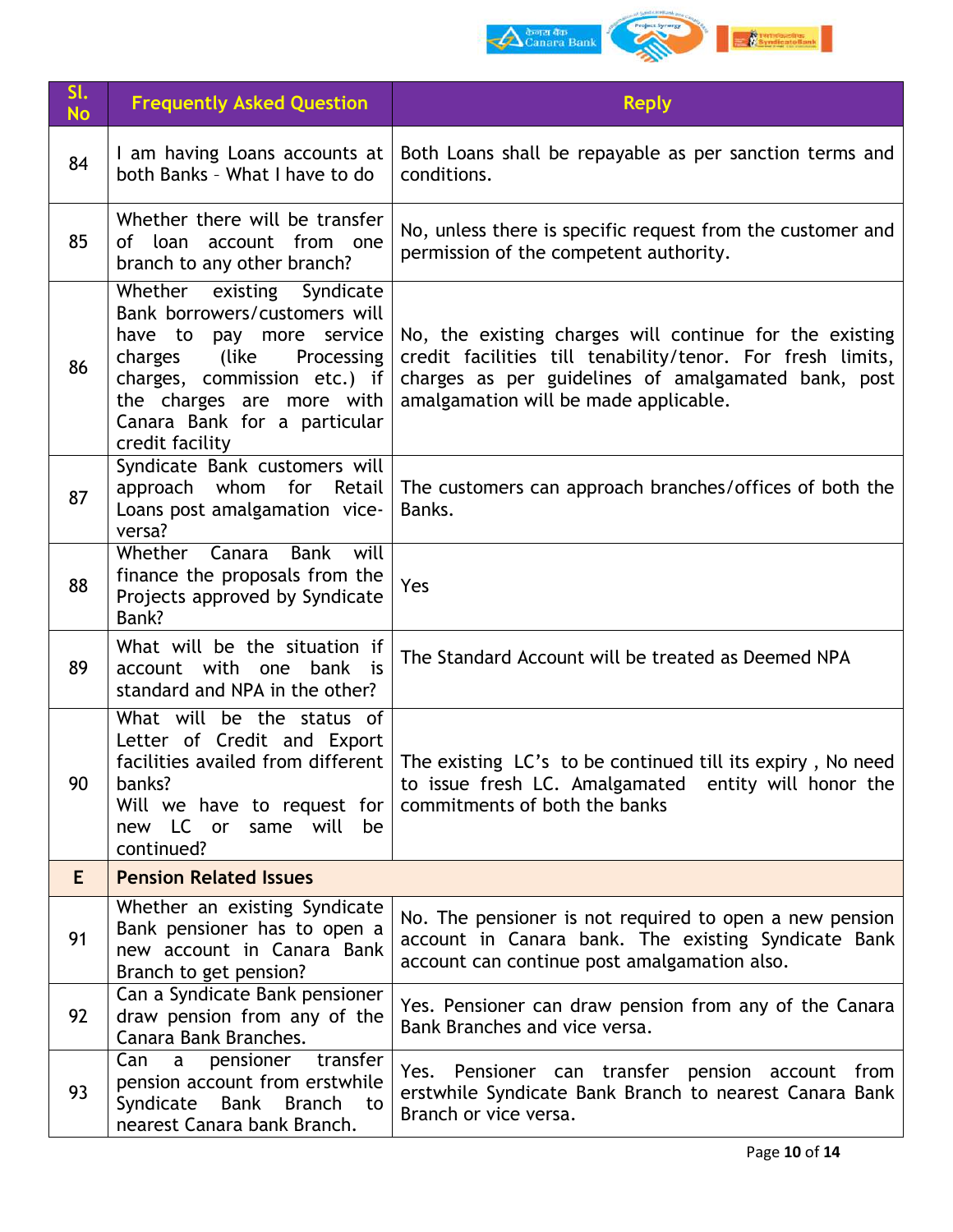

| SI.<br><b>No</b> | <b>Frequently Asked Question</b>                                                                                                                                                                                                          | <b>Reply</b>                                                                                                                                                                                                          |
|------------------|-------------------------------------------------------------------------------------------------------------------------------------------------------------------------------------------------------------------------------------------|-----------------------------------------------------------------------------------------------------------------------------------------------------------------------------------------------------------------------|
| 84               | I am having Loans accounts at<br>both Banks - What I have to do                                                                                                                                                                           | Both Loans shall be repayable as per sanction terms and<br>conditions.                                                                                                                                                |
| 85               | Whether there will be transfer<br>of loan account from one<br>branch to any other branch?                                                                                                                                                 | No, unless there is specific request from the customer and<br>permission of the competent authority.                                                                                                                  |
| 86               | Whether existing Syndicate<br>Bank borrowers/customers will<br>pay more service<br>have to<br>charges (like<br>Processing<br>charges, commission etc.) if<br>the charges are more with<br>Canara Bank for a particular<br>credit facility | No, the existing charges will continue for the existing<br>credit facilities till tenability/tenor. For fresh limits,<br>charges as per guidelines of amalgamated bank, post<br>amalgamation will be made applicable. |
| 87               | Syndicate Bank customers will<br>approach whom for Retail<br>Loans post amalgamation vice-<br>versa?                                                                                                                                      | The customers can approach branches/offices of both the<br>Banks.                                                                                                                                                     |
| 88               | Whether Canara Bank<br>will<br>finance the proposals from the<br>Projects approved by Syndicate<br>Bank?                                                                                                                                  | Yes                                                                                                                                                                                                                   |
| 89               | What will be the situation if<br>account with one bank is<br>standard and NPA in the other?                                                                                                                                               | The Standard Account will be treated as Deemed NPA                                                                                                                                                                    |
| 90               | What will be the status of<br>Letter of Credit and Export<br>facilities availed from different<br>banks?<br>Will we have to request for<br>new LC or<br>same will<br>be<br>continued?                                                     | The existing LC's to be continued till its expiry, No need<br>to issue fresh LC. Amalgamated entity will honor the<br>commitments of both the banks                                                                   |
| E                | <b>Pension Related Issues</b>                                                                                                                                                                                                             |                                                                                                                                                                                                                       |
| 91               | Whether an existing Syndicate<br>Bank pensioner has to open a<br>new account in Canara Bank<br>Branch to get pension?                                                                                                                     | No. The pensioner is not required to open a new pension<br>account in Canara bank. The existing Syndicate Bank<br>account can continue post amalgamation also.                                                        |
| 92               | Can a Syndicate Bank pensioner<br>draw pension from any of the<br>Canara Bank Branches.                                                                                                                                                   | Yes. Pensioner can draw pension from any of the Canara<br>Bank Branches and vice versa.                                                                                                                               |
| 93               | Can<br>pensioner<br>transfer<br>a<br>pension account from erstwhile<br>Syndicate<br>Bank<br><b>Branch</b><br>to<br>nearest Canara bank Branch.                                                                                            | Yes. Pensioner can transfer pension account from<br>erstwhile Syndicate Bank Branch to nearest Canara Bank<br>Branch or vice versa.                                                                                   |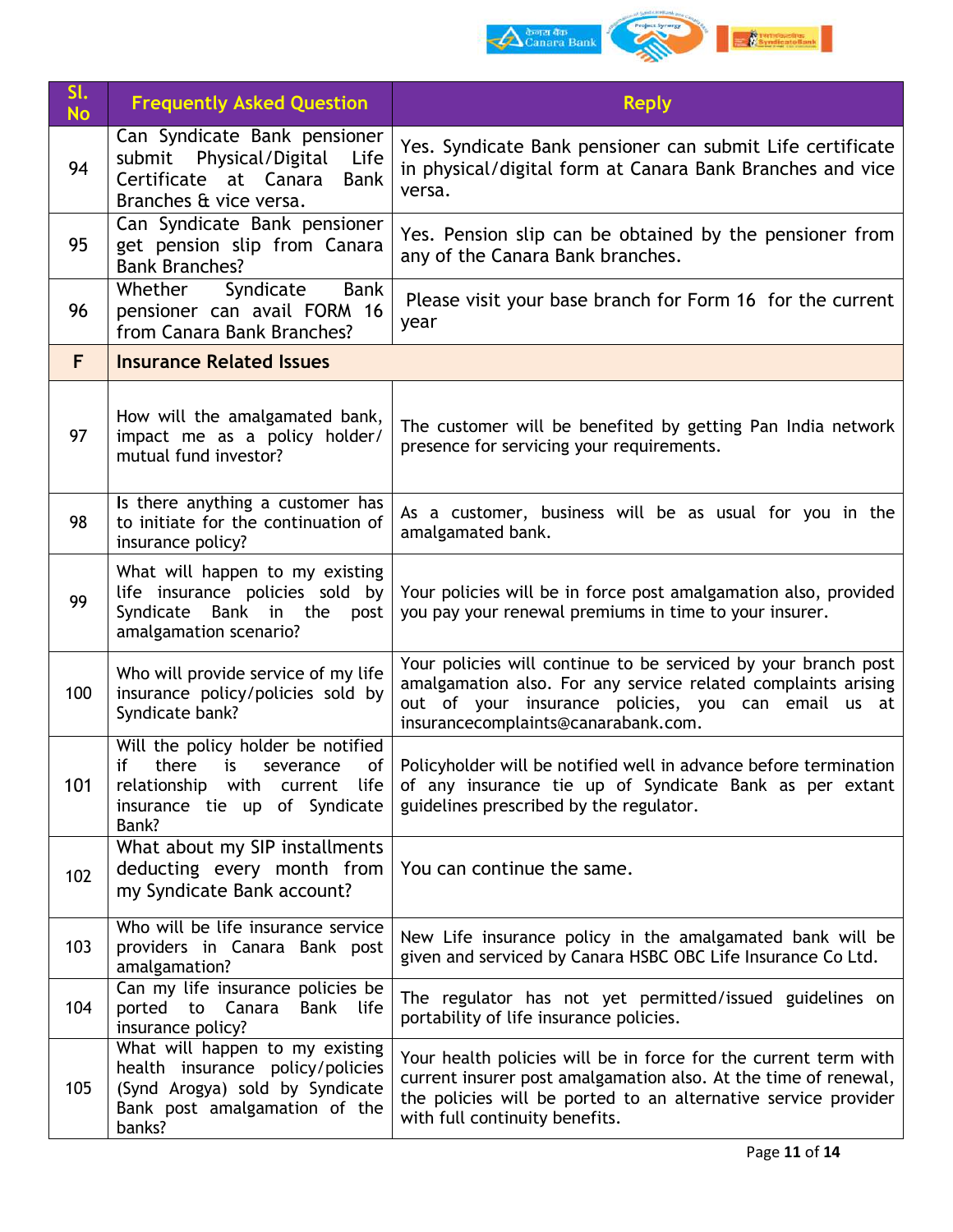

| SI.<br><b>No</b> | <b>Frequently Asked Question</b>                                                                                                                            | <b>Reply</b>                                                                                                                                                                                                                           |
|------------------|-------------------------------------------------------------------------------------------------------------------------------------------------------------|----------------------------------------------------------------------------------------------------------------------------------------------------------------------------------------------------------------------------------------|
| 94               | Can Syndicate Bank pensioner<br>submit Physical/Digital<br>Life<br>Certificate at Canara<br><b>Bank</b><br>Branches & vice versa.                           | Yes. Syndicate Bank pensioner can submit Life certificate<br>in physical/digital form at Canara Bank Branches and vice<br>versa.                                                                                                       |
| 95               | Can Syndicate Bank pensioner<br>get pension slip from Canara<br><b>Bank Branches?</b>                                                                       | Yes. Pension slip can be obtained by the pensioner from<br>any of the Canara Bank branches.                                                                                                                                            |
| 96               | Syndicate<br>Bank<br>Whether<br>pensioner can avail FORM 16<br>from Canara Bank Branches?                                                                   | Please visit your base branch for Form 16 for the current<br>year                                                                                                                                                                      |
| F                | <b>Insurance Related Issues</b>                                                                                                                             |                                                                                                                                                                                                                                        |
| 97               | How will the amalgamated bank,<br>impact me as a policy holder/<br>mutual fund investor?                                                                    | The customer will be benefited by getting Pan India network<br>presence for servicing your requirements.                                                                                                                               |
| 98               | Is there anything a customer has<br>to initiate for the continuation of<br>insurance policy?                                                                | As a customer, business will be as usual for you in the<br>amalgamated bank.                                                                                                                                                           |
| 99               | What will happen to my existing<br>life insurance policies sold by<br>Syndicate<br>Bank in the<br>post<br>amalgamation scenario?                            | Your policies will be in force post amalgamation also, provided<br>you pay your renewal premiums in time to your insurer.                                                                                                              |
| 100              | Who will provide service of my life<br>insurance policy/policies sold by<br>Syndicate bank?                                                                 | Your policies will continue to be serviced by your branch post<br>amalgamation also. For any service related complaints arising<br>out of your insurance policies, you can email us at<br>insurancecomplaints@canarabank.com.          |
| 101              | Will the policy holder be notified<br>if<br>there<br>of<br>is<br>severance<br>relationship with<br>current life  <br>insurance tie up of Syndicate<br>Bank? | Policyholder will be notified well in advance before termination<br>of any insurance tie up of Syndicate Bank as per extant<br>guidelines prescribed by the regulator.                                                                 |
| 102              | What about my SIP installments<br>deducting every month from<br>my Syndicate Bank account?                                                                  | You can continue the same.                                                                                                                                                                                                             |
| 103              | Who will be life insurance service<br>providers in Canara Bank post<br>amalgamation?                                                                        | New Life insurance policy in the amalgamated bank will be<br>given and serviced by Canara HSBC OBC Life Insurance Co Ltd.                                                                                                              |
| 104              | Can my life insurance policies be<br>ported to<br>Canara<br>Bank life<br>insurance policy?                                                                  | The regulator has not yet permitted/issued guidelines on<br>portability of life insurance policies.                                                                                                                                    |
| 105              | What will happen to my existing<br>health insurance policy/policies<br>(Synd Arogya) sold by Syndicate<br>Bank post amalgamation of the<br>banks?           | Your health policies will be in force for the current term with<br>current insurer post amalgamation also. At the time of renewal,<br>the policies will be ported to an alternative service provider<br>with full continuity benefits. |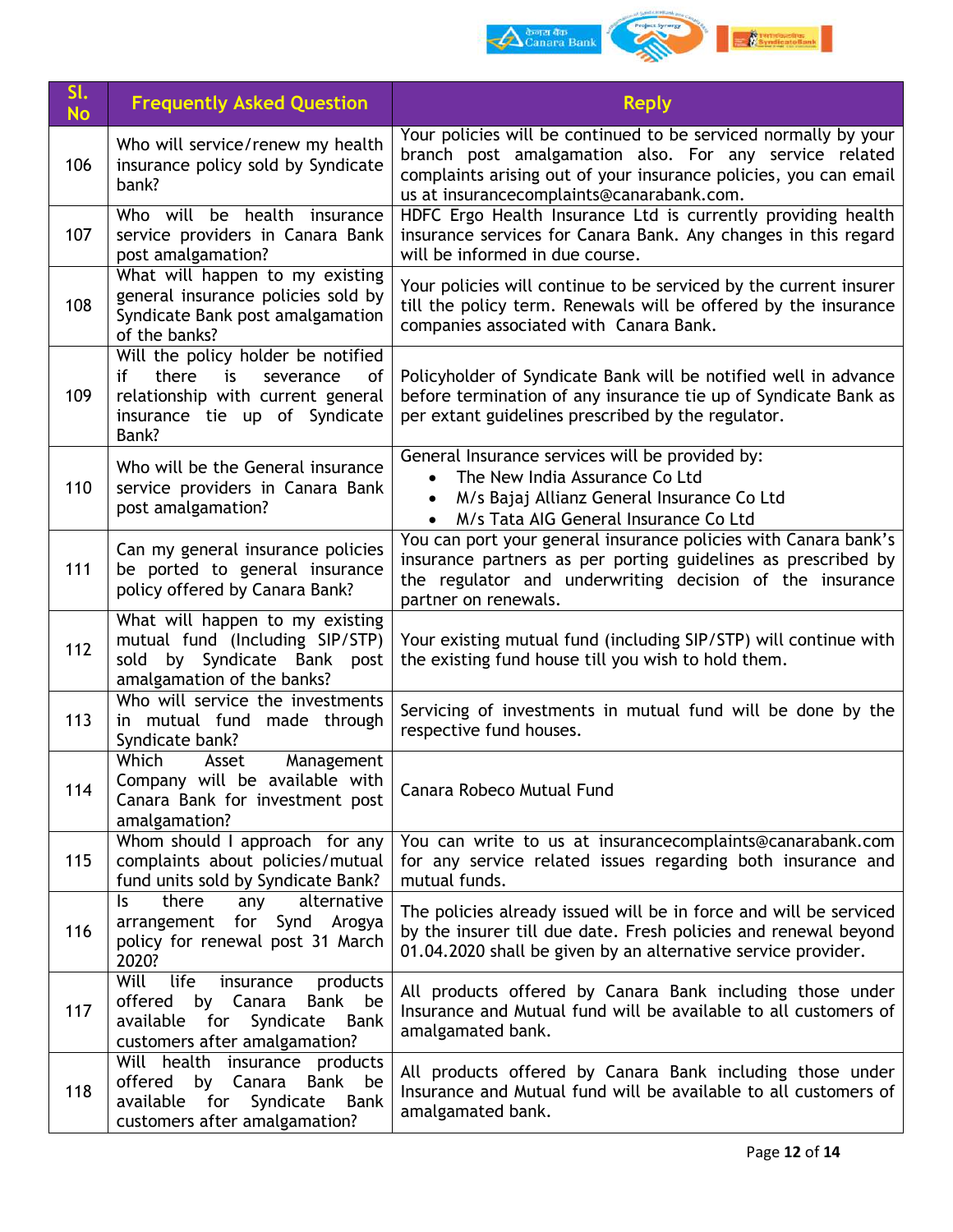

| SI.<br><b>No</b> | <b>Frequently Asked Question</b>                                                                                                                          | <b>Reply</b>                                                                                                                                                                                                                               |
|------------------|-----------------------------------------------------------------------------------------------------------------------------------------------------------|--------------------------------------------------------------------------------------------------------------------------------------------------------------------------------------------------------------------------------------------|
| 106              | Who will service/renew my health<br>insurance policy sold by Syndicate<br>bank?                                                                           | Your policies will be continued to be serviced normally by your<br>branch post amalgamation also. For any service related<br>complaints arising out of your insurance policies, you can email<br>us at insurancecomplaints@canarabank.com. |
| 107              | Who will be health insurance<br>service providers in Canara Bank<br>post amalgamation?                                                                    | HDFC Ergo Health Insurance Ltd is currently providing health<br>insurance services for Canara Bank. Any changes in this regard<br>will be informed in due course.                                                                          |
| 108              | What will happen to my existing<br>general insurance policies sold by<br>Syndicate Bank post amalgamation<br>of the banks?                                | Your policies will continue to be serviced by the current insurer<br>till the policy term. Renewals will be offered by the insurance<br>companies associated with Canara Bank.                                                             |
| 109              | Will the policy holder be notified<br>there<br>if<br>is<br>severance<br>of<br>relationship with current general<br>insurance tie up of Syndicate<br>Bank? | Policyholder of Syndicate Bank will be notified well in advance<br>before termination of any insurance tie up of Syndicate Bank as<br>per extant guidelines prescribed by the regulator.                                                   |
| 110              | Who will be the General insurance<br>service providers in Canara Bank<br>post amalgamation?                                                               | General Insurance services will be provided by:<br>The New India Assurance Co Ltd<br>$\bullet$<br>M/s Bajaj Allianz General Insurance Co Ltd<br>$\bullet$<br>M/s Tata AIG General Insurance Co Ltd<br>$\bullet$                            |
| 111              | Can my general insurance policies<br>be ported to general insurance<br>policy offered by Canara Bank?                                                     | You can port your general insurance policies with Canara bank's<br>insurance partners as per porting guidelines as prescribed by<br>the regulator and underwriting decision of the insurance<br>partner on renewals.                       |
| 112              | What will happen to my existing<br>mutual fund (Including SIP/STP)<br>by Syndicate Bank post<br>sold<br>amalgamation of the banks?                        | Your existing mutual fund (including SIP/STP) will continue with<br>the existing fund house till you wish to hold them.                                                                                                                    |
| 113              | Who will service the investments<br>in mutual fund made through<br>Syndicate bank?                                                                        | Servicing of investments in mutual fund will be done by the<br>respective fund houses.                                                                                                                                                     |
| 114              | Which<br>Management<br>Asset<br>Company will be available with<br>Canara Bank for investment post<br>amalgamation?                                        | Canara Robeco Mutual Fund                                                                                                                                                                                                                  |
| 115              | Whom should I approach for any<br>complaints about policies/mutual<br>fund units sold by Syndicate Bank?                                                  | You can write to us at insurancecomplaints@canarabank.com<br>for any service related issues regarding both insurance and<br>mutual funds.                                                                                                  |
| 116              | there<br>alternative<br>Is.<br>any<br>arrangement for Synd Arogya<br>policy for renewal post 31 March<br>2020?                                            | The policies already issued will be in force and will be serviced<br>by the insurer till due date. Fresh policies and renewal beyond<br>01.04.2020 shall be given by an alternative service provider.                                      |
| 117              | Will<br>life<br>insurance<br>products<br>offered<br>by Canara<br>Bank be<br>Syndicate<br>available for<br>Bank<br>customers after amalgamation?           | All products offered by Canara Bank including those under<br>Insurance and Mutual fund will be available to all customers of<br>amalgamated bank.                                                                                          |
| 118              | Will health insurance products<br>offered<br>Canara<br>by<br>Bank be<br>available<br>Syndicate<br>Bank<br>for<br>customers after amalgamation?            | All products offered by Canara Bank including those under<br>Insurance and Mutual fund will be available to all customers of<br>amalgamated bank.                                                                                          |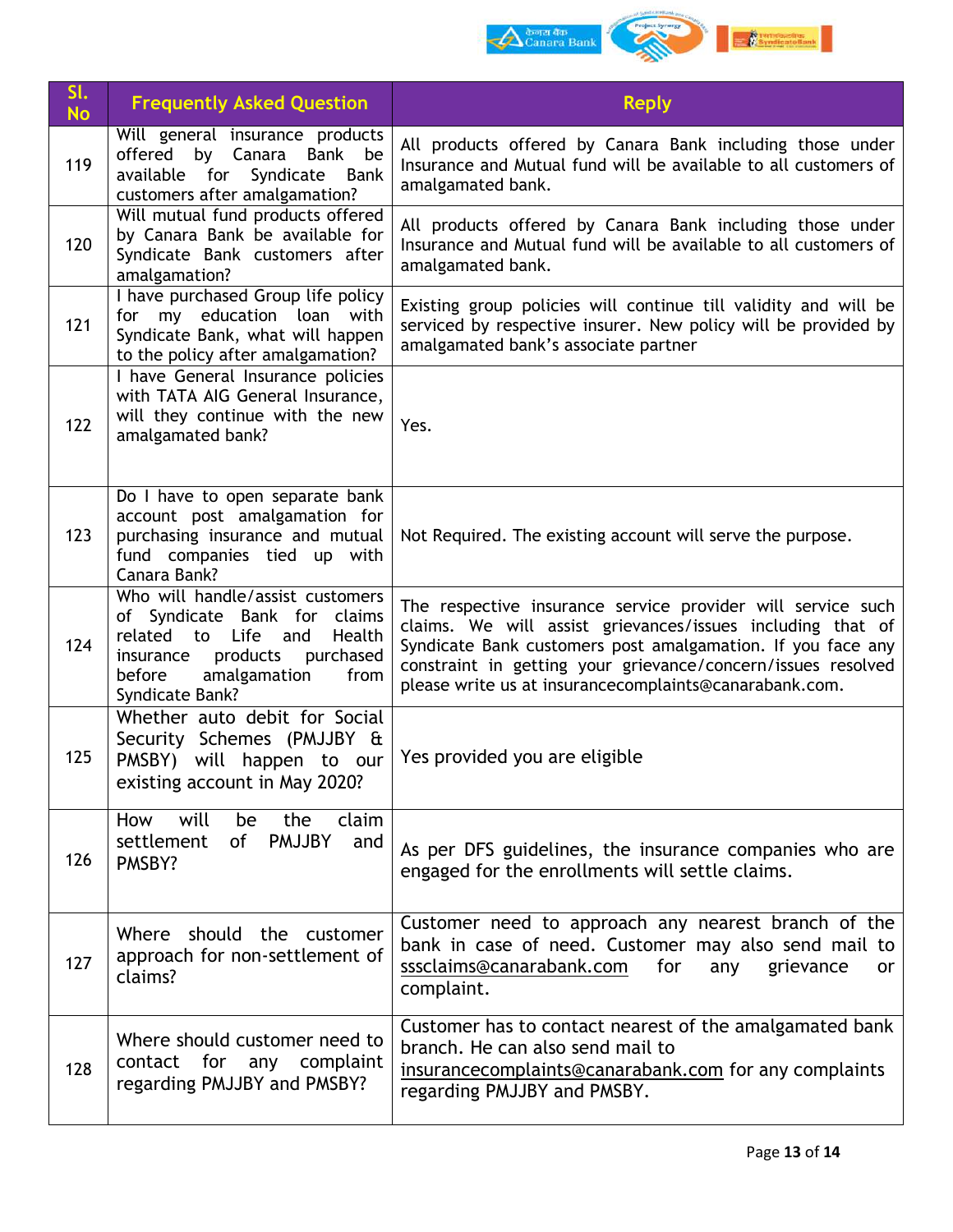

| SI.<br><b>No</b> | <b>Frequently Asked Question</b>                                                                                                                                                                   | <b>Reply</b>                                                                                                                                                                                                                                                                                                       |
|------------------|----------------------------------------------------------------------------------------------------------------------------------------------------------------------------------------------------|--------------------------------------------------------------------------------------------------------------------------------------------------------------------------------------------------------------------------------------------------------------------------------------------------------------------|
| 119              | Will general insurance products<br>offered by Canara<br>Bank be<br>available for Syndicate Bank<br>customers after amalgamation?                                                                   | All products offered by Canara Bank including those under<br>Insurance and Mutual fund will be available to all customers of<br>amalgamated bank.                                                                                                                                                                  |
| 120              | Will mutual fund products offered<br>by Canara Bank be available for<br>Syndicate Bank customers after<br>amalgamation?                                                                            | All products offered by Canara Bank including those under<br>Insurance and Mutual fund will be available to all customers of<br>amalgamated bank.                                                                                                                                                                  |
| 121              | I have purchased Group life policy<br>for my education loan with<br>Syndicate Bank, what will happen<br>to the policy after amalgamation?                                                          | Existing group policies will continue till validity and will be<br>serviced by respective insurer. New policy will be provided by<br>amalgamated bank's associate partner                                                                                                                                          |
| 122              | I have General Insurance policies<br>with TATA AIG General Insurance,<br>will they continue with the new<br>amalgamated bank?                                                                      | Yes.                                                                                                                                                                                                                                                                                                               |
| 123              | Do I have to open separate bank<br>account post amalgamation for<br>purchasing insurance and mutual<br>fund companies tied up with<br>Canara Bank?                                                 | Not Required. The existing account will serve the purpose.                                                                                                                                                                                                                                                         |
| 124              | Who will handle/assist customers<br>of Syndicate Bank for claims<br>related<br>Health<br>to Life<br>and<br>products<br>purchased<br>insurance<br>before<br>amalgamation<br>from<br>Syndicate Bank? | The respective insurance service provider will service such<br>claims. We will assist grievances/issues including that of<br>Syndicate Bank customers post amalgamation. If you face any<br>constraint in getting your grievance/concern/issues resolved<br>please write us at insurancecomplaints@canarabank.com. |
| 125              | Whether auto debit for Social<br>Security Schemes (PMJJBY &<br>PMSBY) will happen to our<br>existing account in May 2020?                                                                          | Yes provided you are eligible                                                                                                                                                                                                                                                                                      |
| 126              | will<br>claim<br>How<br>the<br>be<br><b>PMJJBY</b><br>settlement<br>of<br>and<br>PMSBY?                                                                                                            | As per DFS guidelines, the insurance companies who are<br>engaged for the enrollments will settle claims.                                                                                                                                                                                                          |
| 127              | Where should the customer<br>approach for non-settlement of<br>claims?                                                                                                                             | Customer need to approach any nearest branch of the<br>bank in case of need. Customer may also send mail to<br>sssclaims@canarabank.com<br>for<br>any<br>grievance<br>or<br>complaint.                                                                                                                             |
| 128              | Where should customer need to<br>contact for any complaint<br>regarding PMJJBY and PMSBY?                                                                                                          | Customer has to contact nearest of the amalgamated bank<br>branch. He can also send mail to<br>insurancecomplaints@canarabank.com for any complaints<br>regarding PMJJBY and PMSBY.                                                                                                                                |